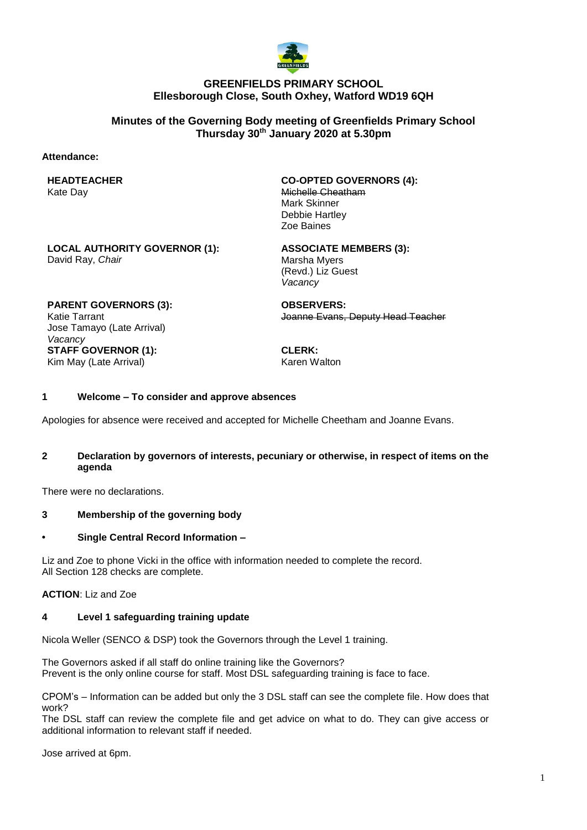

# **GREENFIELDS PRIMARY SCHOOL Ellesborough Close, South Oxhey, Watford WD19 6QH**

# **Minutes of the Governing Body meeting of Greenfields Primary School Thursday 30th January 2020 at 5.30pm**

## **Attendance:**

# **HEADTEACHER**

Kate Day

**CO-OPTED GOVERNORS (4):** Michelle Cheatham Mark Skinner Debbie Hartley Zoe Baines

**LOCAL AUTHORITY GOVERNOR (1):** David Ray, *Chair*

**ASSOCIATE MEMBERS (3):**

Marsha Myers (Revd.) Liz Guest *Vacancy*

**PARENT GOVERNORS (3):** Katie Tarrant Jose Tamayo (Late Arrival) *Vacancy* **STAFF GOVERNOR (1):** Kim May (Late Arrival)

**OBSERVERS:** Joanne Evans, Deputy Head Teacher

**CLERK:** Karen Walton

## **1 Welcome – To consider and approve absences**

Apologies for absence were received and accepted for Michelle Cheetham and Joanne Evans.

## **2 Declaration by governors of interests, pecuniary or otherwise, in respect of items on the agenda**

There were no declarations.

# **3 Membership of the governing body**

#### **• Single Central Record Information –**

Liz and Zoe to phone Vicki in the office with information needed to complete the record. All Section 128 checks are complete.

**ACTION**: Liz and Zoe

#### **4 Level 1 safeguarding training update**

Nicola Weller (SENCO & DSP) took the Governors through the Level 1 training.

The Governors asked if all staff do online training like the Governors? Prevent is the only online course for staff. Most DSL safeguarding training is face to face.

CPOM's – Information can be added but only the 3 DSL staff can see the complete file. How does that work?

The DSL staff can review the complete file and get advice on what to do. They can give access or additional information to relevant staff if needed.

Jose arrived at 6pm.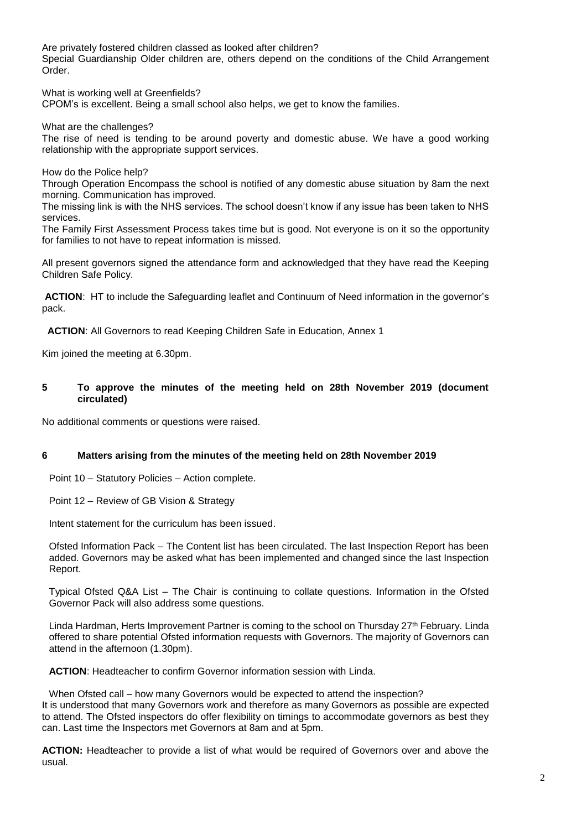Are privately fostered children classed as looked after children? Special Guardianship Older children are, others depend on the conditions of the Child Arrangement Order.

What is working well at Greenfields?

CPOM's is excellent. Being a small school also helps, we get to know the families.

What are the challenges?

The rise of need is tending to be around poverty and domestic abuse. We have a good working relationship with the appropriate support services.

How do the Police help?

Through Operation Encompass the school is notified of any domestic abuse situation by 8am the next morning. Communication has improved.

The missing link is with the NHS services. The school doesn't know if any issue has been taken to NHS services.

The Family First Assessment Process takes time but is good. Not everyone is on it so the opportunity for families to not have to repeat information is missed.

All present governors signed the attendance form and acknowledged that they have read the Keeping Children Safe Policy.

**ACTION**: HT to include the Safeguarding leaflet and Continuum of Need information in the governor's pack.

 **ACTION**: All Governors to read Keeping Children Safe in Education, Annex 1

Kim joined the meeting at 6.30pm.

## **5 To approve the minutes of the meeting held on 28th November 2019 (document circulated)**

No additional comments or questions were raised.

#### **6 Matters arising from the minutes of the meeting held on 28th November 2019**

Point 10 – Statutory Policies – Action complete.

Point 12 – Review of GB Vision & Strategy

Intent statement for the curriculum has been issued.

Ofsted Information Pack – The Content list has been circulated. The last Inspection Report has been added. Governors may be asked what has been implemented and changed since the last Inspection Report.

Typical Ofsted Q&A List – The Chair is continuing to collate questions. Information in the Ofsted Governor Pack will also address some questions.

Linda Hardman, Herts Improvement Partner is coming to the school on Thursday 27<sup>th</sup> February. Linda offered to share potential Ofsted information requests with Governors. The majority of Governors can attend in the afternoon (1.30pm).

**ACTION**: Headteacher to confirm Governor information session with Linda.

When Ofsted call – how many Governors would be expected to attend the inspection? It is understood that many Governors work and therefore as many Governors as possible are expected to attend. The Ofsted inspectors do offer flexibility on timings to accommodate governors as best they can. Last time the Inspectors met Governors at 8am and at 5pm.

**ACTION:** Headteacher to provide a list of what would be required of Governors over and above the usual.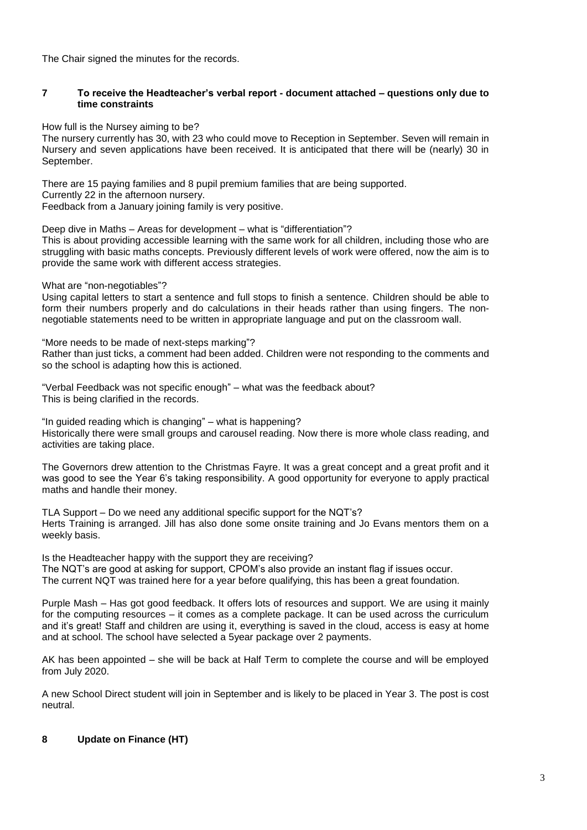The Chair signed the minutes for the records.

## **7 To receive the Headteacher's verbal report - document attached – questions only due to time constraints**

How full is the Nursey aiming to be?

The nursery currently has 30, with 23 who could move to Reception in September. Seven will remain in Nursery and seven applications have been received. It is anticipated that there will be (nearly) 30 in September.

There are 15 paying families and 8 pupil premium families that are being supported. Currently 22 in the afternoon nursery. Feedback from a January joining family is very positive.

Deep dive in Maths – Areas for development – what is "differentiation"?

This is about providing accessible learning with the same work for all children, including those who are struggling with basic maths concepts. Previously different levels of work were offered, now the aim is to provide the same work with different access strategies.

What are "non-negotiables"?

Using capital letters to start a sentence and full stops to finish a sentence. Children should be able to form their numbers properly and do calculations in their heads rather than using fingers. The nonnegotiable statements need to be written in appropriate language and put on the classroom wall.

"More needs to be made of next-steps marking"? Rather than just ticks, a comment had been added. Children were not responding to the comments and so the school is adapting how this is actioned.

"Verbal Feedback was not specific enough" – what was the feedback about? This is being clarified in the records.

"In guided reading which is changing" – what is happening? Historically there were small groups and carousel reading. Now there is more whole class reading, and activities are taking place.

The Governors drew attention to the Christmas Fayre. It was a great concept and a great profit and it was good to see the Year 6's taking responsibility. A good opportunity for everyone to apply practical maths and handle their money.

TLA Support – Do we need any additional specific support for the NQT's? Herts Training is arranged. Jill has also done some onsite training and Jo Evans mentors them on a weekly basis.

Is the Headteacher happy with the support they are receiving? The NQT's are good at asking for support, CPOM's also provide an instant flag if issues occur. The current NQT was trained here for a year before qualifying, this has been a great foundation.

Purple Mash – Has got good feedback. It offers lots of resources and support. We are using it mainly for the computing resources – it comes as a complete package. It can be used across the curriculum and it's great! Staff and children are using it, everything is saved in the cloud, access is easy at home and at school. The school have selected a 5year package over 2 payments.

AK has been appointed – she will be back at Half Term to complete the course and will be employed from July 2020.

A new School Direct student will join in September and is likely to be placed in Year 3. The post is cost neutral.

# **8 Update on Finance (HT)**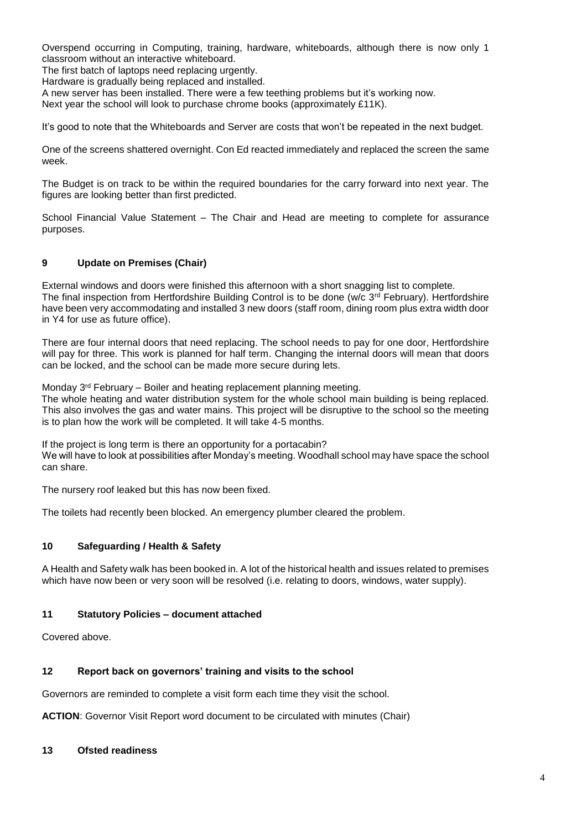Overspend occurring in Computing, training, hardware, whiteboards, although there is now only 1 classroom without an interactive whiteboard.

The first batch of laptops need replacing urgently.

Hardware is gradually being replaced and installed.

A new server has been installed. There were a few teething problems but it's working now.

Next year the school will look to purchase chrome books (approximately £11K).

It's good to note that the Whiteboards and Server are costs that won't be repeated in the next budget.

One of the screens shattered overnight. Con Ed reacted immediately and replaced the screen the same week.

The Budget is on track to be within the required boundaries for the carry forward into next year. The figures are looking better than first predicted.

School Financial Value Statement – The Chair and Head are meeting to complete for assurance purposes.

## **9 Update on Premises (Chair)**

External windows and doors were finished this afternoon with a short snagging list to complete. The final inspection from Hertfordshire Building Control is to be done (w/c 3<sup>rd</sup> February). Hertfordshire have been very accommodating and installed 3 new doors (staff room, dining room plus extra width door in Y4 for use as future office).

There are four internal doors that need replacing. The school needs to pay for one door, Hertfordshire will pay for three. This work is planned for half term. Changing the internal doors will mean that doors can be locked, and the school can be made more secure during lets.

Monday 3rd February – Boiler and heating replacement planning meeting.

The whole heating and water distribution system for the whole school main building is being replaced. This also involves the gas and water mains. This project will be disruptive to the school so the meeting is to plan how the work will be completed. It will take 4-5 months.

If the project is long term is there an opportunity for a portacabin? We will have to look at possibilities after Monday's meeting. Woodhall school may have space the school can share.

The nursery roof leaked but this has now been fixed.

The toilets had recently been blocked. An emergency plumber cleared the problem.

# **10 Safeguarding / Health & Safety**

A Health and Safety walk has been booked in. A lot of the historical health and issues related to premises which have now been or very soon will be resolved (i.e. relating to doors, windows, water supply).

#### **11 Statutory Policies – document attached**

Covered above.

#### **12 Report back on governors' training and visits to the school**

Governors are reminded to complete a visit form each time they visit the school.

**ACTION**: Governor Visit Report word document to be circulated with minutes (Chair)

#### **13 Ofsted readiness**